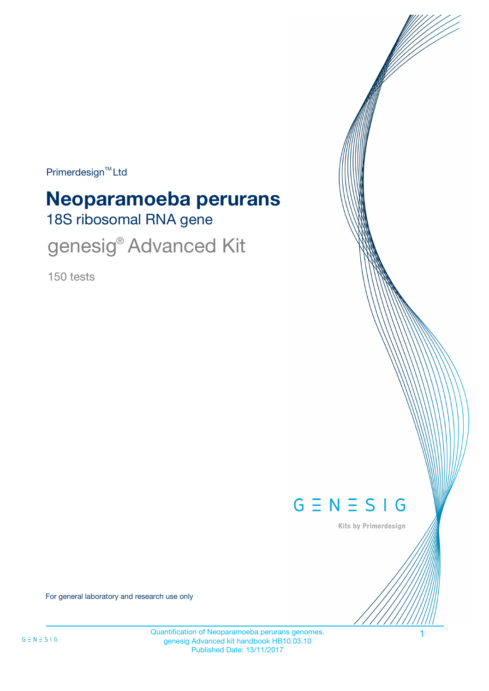Primerdesign<sup>™</sup>Ltd

# 18S ribosomal RNA gene **Neoparamoeba perurans**

genesig® Advanced Kit

150 tests



Kits by Primerdesign

For general laboratory and research use only

Quantification of Neoparamoeba perurans genomes. 1 genesig Advanced kit handbook HB10.03.10 Published Date: 13/11/2017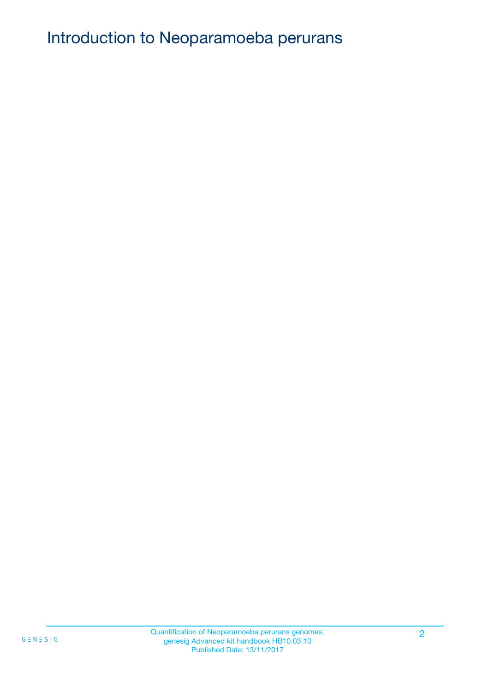# Introduction to Neoparamoeba perurans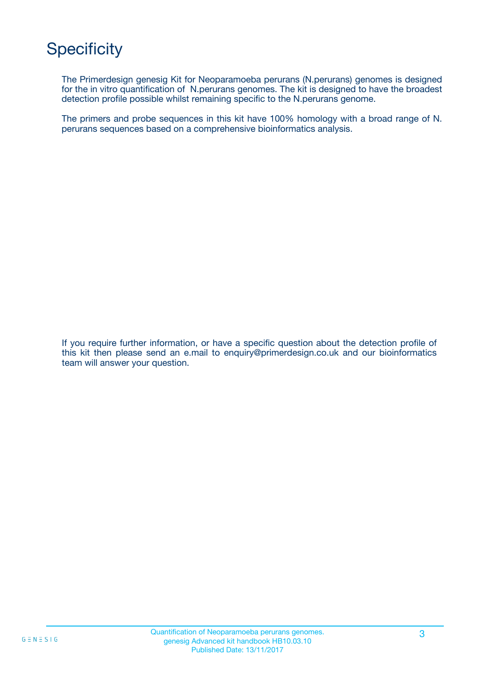# **Specificity**

The Primerdesign genesig Kit for Neoparamoeba perurans (N.perurans) genomes is designed for the in vitro quantification of N.perurans genomes. The kit is designed to have the broadest detection profile possible whilst remaining specific to the N.perurans genome.

The primers and probe sequences in this kit have 100% homology with a broad range of N. perurans sequences based on a comprehensive bioinformatics analysis.

If you require further information, or have a specific question about the detection profile of this kit then please send an e.mail to enquiry@primerdesign.co.uk and our bioinformatics team will answer your question.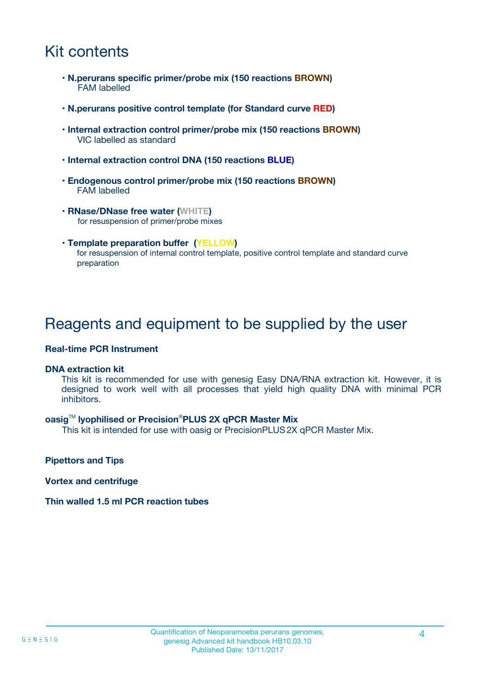## Kit contents

- **N.perurans specific primer/probe mix (150 reactions BROWN)** FAM labelled
- **N.perurans positive control template (for Standard curve RED)**
- **Internal extraction control primer/probe mix (150 reactions BROWN)** VIC labelled as standard
- **Internal extraction control DNA (150 reactions BLUE)**
- **Endogenous control primer/probe mix (150 reactions BROWN)** FAM labelled
- **RNase/DNase free water (WHITE)** for resuspension of primer/probe mixes
- **Template preparation buffer (YELLOW)** for resuspension of internal control template, positive control template and standard curve preparation

### Reagents and equipment to be supplied by the user

#### **Real-time PCR Instrument**

#### **DNA extraction kit**

This kit is recommended for use with genesig Easy DNA/RNA extraction kit. However, it is designed to work well with all processes that yield high quality DNA with minimal PCR inhibitors.

#### **oasig**TM **lyophilised or Precision**®**PLUS 2X qPCR Master Mix**

This kit is intended for use with oasig or PrecisionPLUS2X qPCR Master Mix.

**Pipettors and Tips**

**Vortex and centrifuge**

#### **Thin walled 1.5 ml PCR reaction tubes**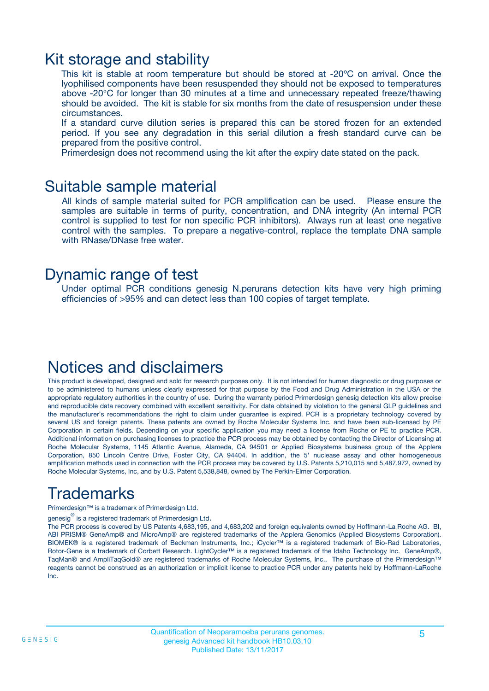### Kit storage and stability

This kit is stable at room temperature but should be stored at -20ºC on arrival. Once the lyophilised components have been resuspended they should not be exposed to temperatures above -20°C for longer than 30 minutes at a time and unnecessary repeated freeze/thawing should be avoided. The kit is stable for six months from the date of resuspension under these circumstances.

If a standard curve dilution series is prepared this can be stored frozen for an extended period. If you see any degradation in this serial dilution a fresh standard curve can be prepared from the positive control.

Primerdesign does not recommend using the kit after the expiry date stated on the pack.

### Suitable sample material

All kinds of sample material suited for PCR amplification can be used. Please ensure the samples are suitable in terms of purity, concentration, and DNA integrity (An internal PCR control is supplied to test for non specific PCR inhibitors). Always run at least one negative control with the samples. To prepare a negative-control, replace the template DNA sample with RNase/DNase free water.

### Dynamic range of test

Under optimal PCR conditions genesig N.perurans detection kits have very high priming efficiencies of >95% and can detect less than 100 copies of target template.

## Notices and disclaimers

This product is developed, designed and sold for research purposes only. It is not intended for human diagnostic or drug purposes or to be administered to humans unless clearly expressed for that purpose by the Food and Drug Administration in the USA or the appropriate regulatory authorities in the country of use. During the warranty period Primerdesign genesig detection kits allow precise and reproducible data recovery combined with excellent sensitivity. For data obtained by violation to the general GLP guidelines and the manufacturer's recommendations the right to claim under guarantee is expired. PCR is a proprietary technology covered by several US and foreign patents. These patents are owned by Roche Molecular Systems Inc. and have been sub-licensed by PE Corporation in certain fields. Depending on your specific application you may need a license from Roche or PE to practice PCR. Additional information on purchasing licenses to practice the PCR process may be obtained by contacting the Director of Licensing at Roche Molecular Systems, 1145 Atlantic Avenue, Alameda, CA 94501 or Applied Biosystems business group of the Applera Corporation, 850 Lincoln Centre Drive, Foster City, CA 94404. In addition, the 5' nuclease assay and other homogeneous amplification methods used in connection with the PCR process may be covered by U.S. Patents 5,210,015 and 5,487,972, owned by Roche Molecular Systems, Inc, and by U.S. Patent 5,538,848, owned by The Perkin-Elmer Corporation.

# Trademarks

Primerdesign™ is a trademark of Primerdesign Ltd.

genesig $^\circledR$  is a registered trademark of Primerdesign Ltd.

The PCR process is covered by US Patents 4,683,195, and 4,683,202 and foreign equivalents owned by Hoffmann-La Roche AG. BI, ABI PRISM® GeneAmp® and MicroAmp® are registered trademarks of the Applera Genomics (Applied Biosystems Corporation). BIOMEK® is a registered trademark of Beckman Instruments, Inc.; iCycler™ is a registered trademark of Bio-Rad Laboratories, Rotor-Gene is a trademark of Corbett Research. LightCycler™ is a registered trademark of the Idaho Technology Inc. GeneAmp®, TaqMan® and AmpliTaqGold® are registered trademarks of Roche Molecular Systems, Inc., The purchase of the Primerdesign™ reagents cannot be construed as an authorization or implicit license to practice PCR under any patents held by Hoffmann-LaRoche Inc.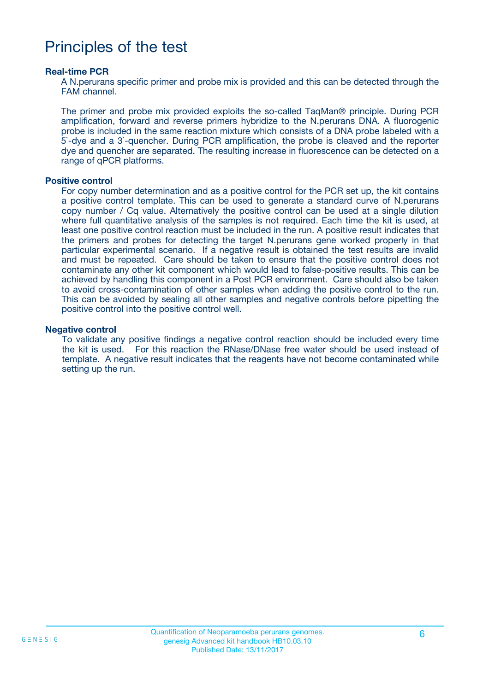## Principles of the test

#### **Real-time PCR**

A N.perurans specific primer and probe mix is provided and this can be detected through the FAM channel.

The primer and probe mix provided exploits the so-called TaqMan® principle. During PCR amplification, forward and reverse primers hybridize to the N.perurans DNA. A fluorogenic probe is included in the same reaction mixture which consists of a DNA probe labeled with a 5`-dye and a 3`-quencher. During PCR amplification, the probe is cleaved and the reporter dye and quencher are separated. The resulting increase in fluorescence can be detected on a range of qPCR platforms.

#### **Positive control**

For copy number determination and as a positive control for the PCR set up, the kit contains a positive control template. This can be used to generate a standard curve of N.perurans copy number / Cq value. Alternatively the positive control can be used at a single dilution where full quantitative analysis of the samples is not required. Each time the kit is used, at least one positive control reaction must be included in the run. A positive result indicates that the primers and probes for detecting the target N.perurans gene worked properly in that particular experimental scenario. If a negative result is obtained the test results are invalid and must be repeated. Care should be taken to ensure that the positive control does not contaminate any other kit component which would lead to false-positive results. This can be achieved by handling this component in a Post PCR environment. Care should also be taken to avoid cross-contamination of other samples when adding the positive control to the run. This can be avoided by sealing all other samples and negative controls before pipetting the positive control into the positive control well.

#### **Negative control**

To validate any positive findings a negative control reaction should be included every time the kit is used. For this reaction the RNase/DNase free water should be used instead of template. A negative result indicates that the reagents have not become contaminated while setting up the run.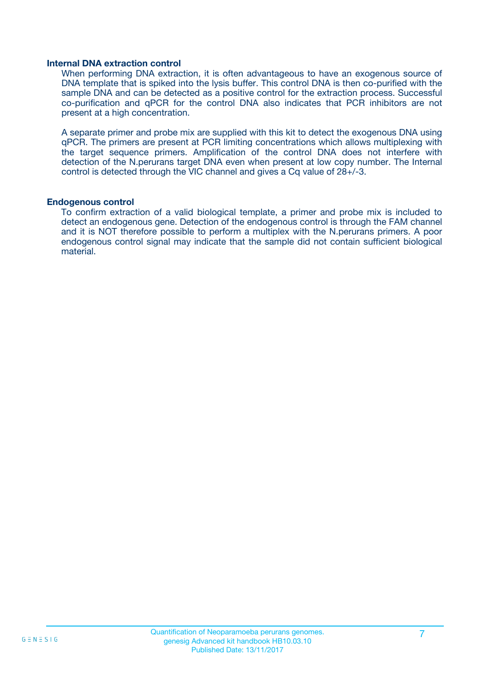#### **Internal DNA extraction control**

When performing DNA extraction, it is often advantageous to have an exogenous source of DNA template that is spiked into the lysis buffer. This control DNA is then co-purified with the sample DNA and can be detected as a positive control for the extraction process. Successful co-purification and qPCR for the control DNA also indicates that PCR inhibitors are not present at a high concentration.

A separate primer and probe mix are supplied with this kit to detect the exogenous DNA using qPCR. The primers are present at PCR limiting concentrations which allows multiplexing with the target sequence primers. Amplification of the control DNA does not interfere with detection of the N.perurans target DNA even when present at low copy number. The Internal control is detected through the VIC channel and gives a Cq value of 28+/-3.

#### **Endogenous control**

To confirm extraction of a valid biological template, a primer and probe mix is included to detect an endogenous gene. Detection of the endogenous control is through the FAM channel and it is NOT therefore possible to perform a multiplex with the N.perurans primers. A poor endogenous control signal may indicate that the sample did not contain sufficient biological material.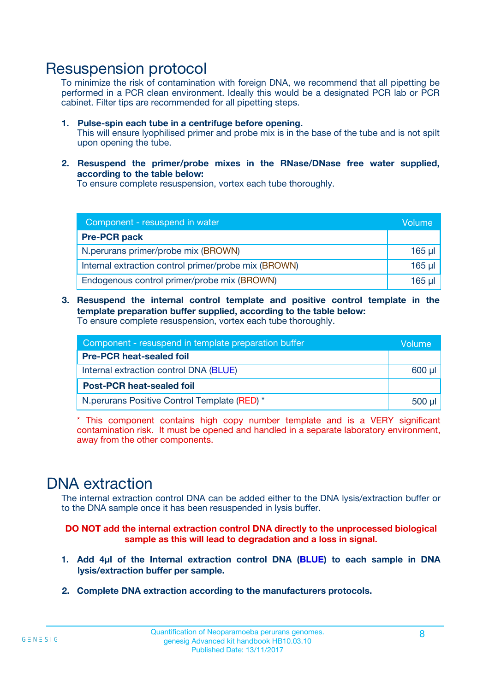### Resuspension protocol

To minimize the risk of contamination with foreign DNA, we recommend that all pipetting be performed in a PCR clean environment. Ideally this would be a designated PCR lab or PCR cabinet. Filter tips are recommended for all pipetting steps.

- **1. Pulse-spin each tube in a centrifuge before opening.** This will ensure lyophilised primer and probe mix is in the base of the tube and is not spilt upon opening the tube.
- **2. Resuspend the primer/probe mixes in the RNase/DNase free water supplied, according to the table below:**

To ensure complete resuspension, vortex each tube thoroughly.

| Component - resuspend in water                       |          |  |
|------------------------------------------------------|----------|--|
| <b>Pre-PCR pack</b>                                  |          |  |
| N.perurans primer/probe mix (BROWN)                  | $165$ µl |  |
| Internal extraction control primer/probe mix (BROWN) | $165$ µl |  |
| Endogenous control primer/probe mix (BROWN)          | $165$ µl |  |

**3. Resuspend the internal control template and positive control template in the template preparation buffer supplied, according to the table below:** To ensure complete resuspension, vortex each tube thoroughly.

| Component - resuspend in template preparation buffer |  |  |  |
|------------------------------------------------------|--|--|--|
| <b>Pre-PCR heat-sealed foil</b>                      |  |  |  |
| Internal extraction control DNA (BLUE)               |  |  |  |
| <b>Post-PCR heat-sealed foil</b>                     |  |  |  |
| N. perurans Positive Control Template (RED) *        |  |  |  |

\* This component contains high copy number template and is a VERY significant contamination risk. It must be opened and handled in a separate laboratory environment, away from the other components.

## DNA extraction

The internal extraction control DNA can be added either to the DNA lysis/extraction buffer or to the DNA sample once it has been resuspended in lysis buffer.

**DO NOT add the internal extraction control DNA directly to the unprocessed biological sample as this will lead to degradation and a loss in signal.**

- **1. Add 4µl of the Internal extraction control DNA (BLUE) to each sample in DNA lysis/extraction buffer per sample.**
- **2. Complete DNA extraction according to the manufacturers protocols.**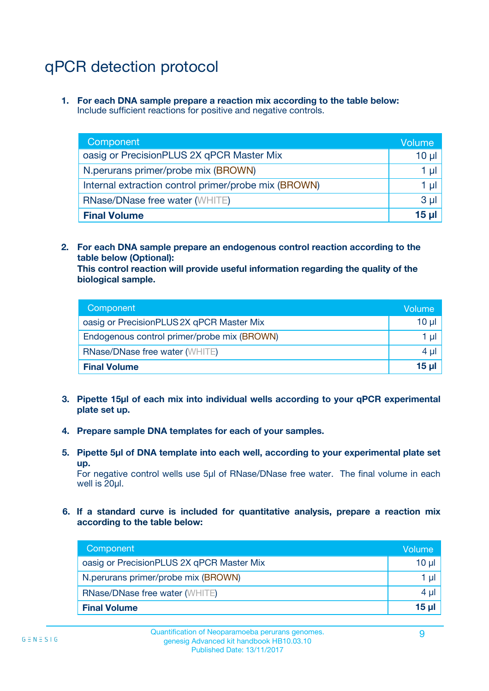# qPCR detection protocol

**1. For each DNA sample prepare a reaction mix according to the table below:** Include sufficient reactions for positive and negative controls.

| Component                                            | Volume   |
|------------------------------------------------------|----------|
| oasig or PrecisionPLUS 2X qPCR Master Mix            | $10 \mu$ |
| N.perurans primer/probe mix (BROWN)                  | 1 µI l   |
| Internal extraction control primer/probe mix (BROWN) | 1 µl     |
| <b>RNase/DNase free water (WHITE)</b>                | $3 \mu$  |
| <b>Final Volume</b>                                  | 15 µl    |

**2. For each DNA sample prepare an endogenous control reaction according to the table below (Optional):**

**This control reaction will provide useful information regarding the quality of the biological sample.**

| Component                                   | Volume          |
|---------------------------------------------|-----------------|
| oasig or PrecisionPLUS 2X qPCR Master Mix   | $10 \mu$        |
| Endogenous control primer/probe mix (BROWN) | 1 µI            |
| <b>RNase/DNase free water (WHITE)</b>       | 4 µl            |
| <b>Final Volume</b>                         | 15 <sub>µ</sub> |

- **3. Pipette 15µl of each mix into individual wells according to your qPCR experimental plate set up.**
- **4. Prepare sample DNA templates for each of your samples.**
- **5. Pipette 5µl of DNA template into each well, according to your experimental plate set up.**

For negative control wells use 5µl of RNase/DNase free water. The final volume in each well is 20ul.

**6. If a standard curve is included for quantitative analysis, prepare a reaction mix according to the table below:**

| Component                                 | Volume          |
|-------------------------------------------|-----------------|
| oasig or PrecisionPLUS 2X qPCR Master Mix | $10 \mu$        |
| N.perurans primer/probe mix (BROWN)       | 1 µI -          |
| <b>RNase/DNase free water (WHITE)</b>     | 4 µl            |
| <b>Final Volume</b>                       | 15 <sub>µ</sub> |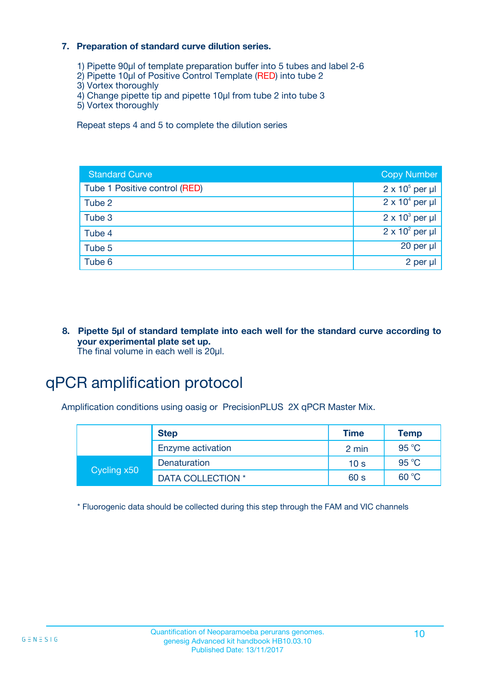#### **7. Preparation of standard curve dilution series.**

- 1) Pipette 90µl of template preparation buffer into 5 tubes and label 2-6
- 2) Pipette 10µl of Positive Control Template (RED) into tube 2
- 3) Vortex thoroughly
- 4) Change pipette tip and pipette 10µl from tube 2 into tube 3
- 5) Vortex thoroughly

Repeat steps 4 and 5 to complete the dilution series

| <b>Standard Curve</b>         | <b>Copy Number</b>     |
|-------------------------------|------------------------|
| Tube 1 Positive control (RED) | $2 \times 10^5$ per µl |
| Tube 2                        | $2 \times 10^4$ per µl |
| Tube 3                        | $2 \times 10^3$ per µl |
| Tube 4                        | $2 \times 10^2$ per µl |
| Tube 5                        | $20$ per $\mu$         |
| Tube 6                        | 2 per µl               |

**8. Pipette 5µl of standard template into each well for the standard curve according to your experimental plate set up.** The final volume in each well is 20µl.

# qPCR amplification protocol

Amplification conditions using oasig or PrecisionPLUS 2X qPCR Master Mix.

|             | <b>Step</b>       | <b>Time</b>     | <b>Temp</b> |
|-------------|-------------------|-----------------|-------------|
|             | Enzyme activation | 2 min           | 95 °C       |
| Cycling x50 | Denaturation      | 10 <sub>s</sub> | 95 °C       |
|             | DATA COLLECTION * | 60 s            | 60 °C       |

\* Fluorogenic data should be collected during this step through the FAM and VIC channels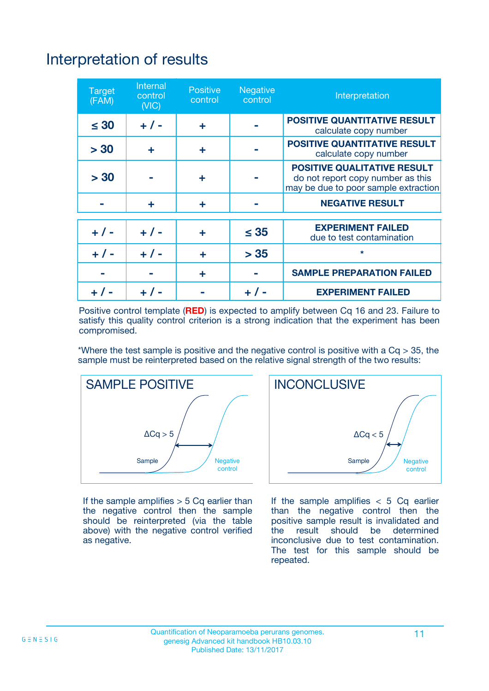# Interpretation of results

| <b>Target</b><br>(FAM) | <b>Internal</b><br>control<br>(NIC) | <b>Positive</b><br>control | <b>Negative</b><br>control | Interpretation                                                                                                  |
|------------------------|-------------------------------------|----------------------------|----------------------------|-----------------------------------------------------------------------------------------------------------------|
| $\leq 30$              | $+ 1 -$                             | ÷                          |                            | <b>POSITIVE QUANTITATIVE RESULT</b><br>calculate copy number                                                    |
| > 30                   | ٠                                   | ÷                          |                            | <b>POSITIVE QUANTITATIVE RESULT</b><br>calculate copy number                                                    |
| > 30                   |                                     | ÷                          |                            | <b>POSITIVE QUALITATIVE RESULT</b><br>do not report copy number as this<br>may be due to poor sample extraction |
|                        | ÷                                   | ÷                          |                            | <b>NEGATIVE RESULT</b>                                                                                          |
| $+ 1 -$                | $+ 1 -$                             | ÷                          | $\leq$ 35                  | <b>EXPERIMENT FAILED</b><br>due to test contamination                                                           |
| $+$ / -                | $+ 1 -$                             | ÷                          | > 35                       | $\star$                                                                                                         |
|                        |                                     | ÷                          |                            | <b>SAMPLE PREPARATION FAILED</b>                                                                                |
|                        |                                     |                            | $+$ /                      | <b>EXPERIMENT FAILED</b>                                                                                        |

Positive control template (**RED**) is expected to amplify between Cq 16 and 23. Failure to satisfy this quality control criterion is a strong indication that the experiment has been compromised.

\*Where the test sample is positive and the negative control is positive with a  $Ca > 35$ , the sample must be reinterpreted based on the relative signal strength of the two results:



If the sample amplifies  $> 5$  Cq earlier than the negative control then the sample should be reinterpreted (via the table above) with the negative control verified as negative.



If the sample amplifies  $< 5$  Cq earlier than the negative control then the positive sample result is invalidated and<br>the result should be determined  $the$  result should be inconclusive due to test contamination. The test for this sample should be repeated.